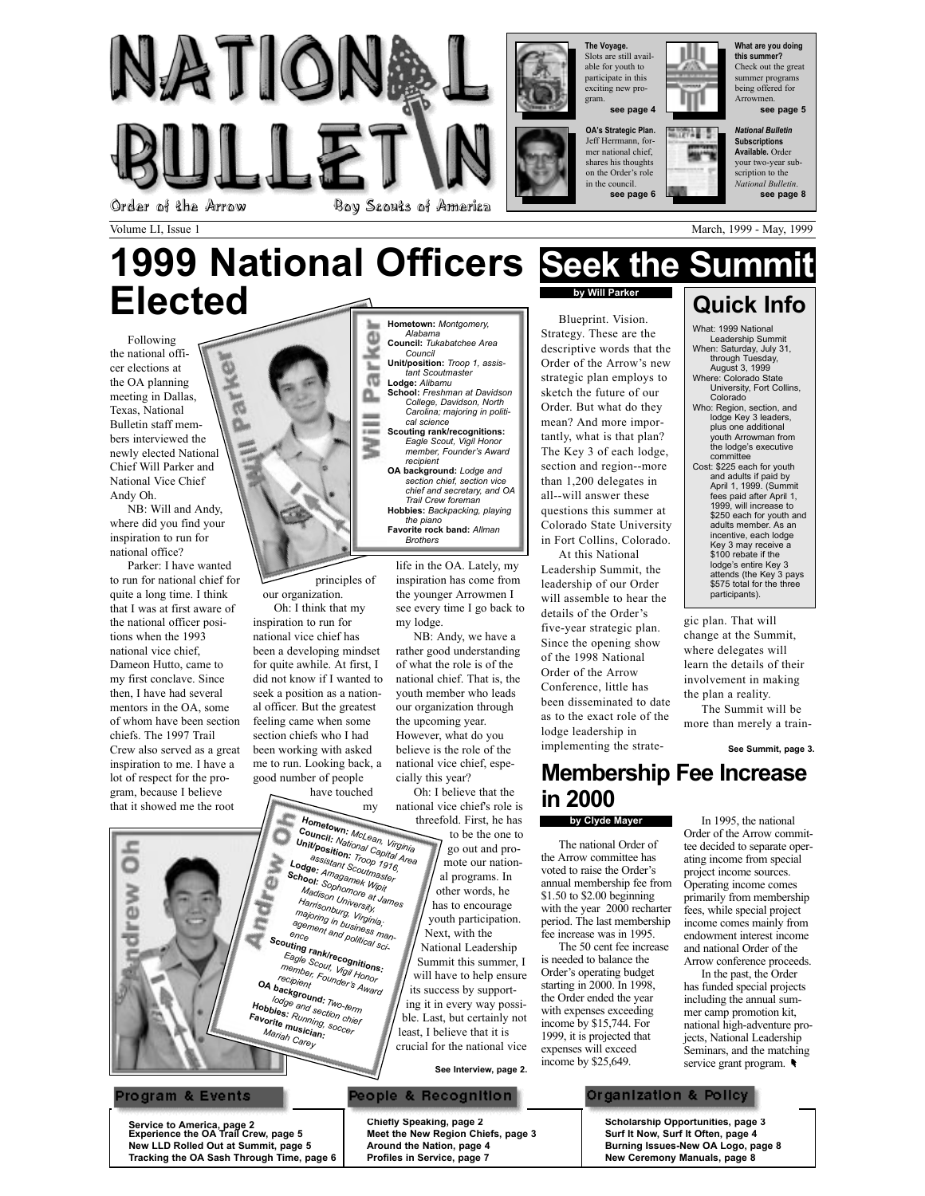

Alabama Council: Tukabatchee Area Council Unit/position: Troop 1, assistant Scoutmaster Lodge: Alibamu School: Freshman at Davidson College, Davidson, North Carolina; majoring in politi-

cal science Scouting rank/recognitions: Eagle Scout, Vigil Honor member, Founderís Award

recipient OA background: Lodge and section chief, section vice chief and secretary, and OA Trail Crew foreman Hobbies: Backpacking, playing the piano Favorite rock band: Allman **Brothers** 

Volume LI, Issue 1 March, 1999 - May, 1999 - May, 1999 - May, 1999 - May, 1999 - May, 1999 - May, 1999 - May, 1999

# 1999 National Officers Seek the SummitElected Hometown: Montgomery,

Φ э ħ **G** 

Following the national officer elections at the OA planning meeting in Dallas, Texas, National Bulletin staff members interviewed the newly elected National Chief Will Parker and National Vice Chief Andy Oh.

NB: Will and Andy, where did you find your inspiration to run for national office?

Parker: I have wanted to run for national chief for quite a long time. I think that I was at first aware of the national officer positions when the 1993 national vice chief, Dameon Hutto, came to my first conclave. Since then, I have had several mentors in the OA, some of whom have been section chiefs. The 1997 Trail Crew also served as a great inspiration to me. I have a lot of respect for the program, because I believe that it showed me the root

Ö

rew



principles of our organization.

Oh: I think that my inspiration to run for national vice chief has been a developing mindset for quite awhile. At first, I did not know if I wanted to seek a position as a national officer. But the greatest feeling came when some section chiefs who I had been working with asked me to run. Looking back, a good number of people

have touched my

assistant Scoutmaster<br>**dge:** Amagamek Wipit<br>**1001:** Sophomore Wipit<br>Madison University, Unit/position: Troop 1916, Lodge: Amagamek<br>School: Amagamek Mast<br>Amagamek Wipit School: Amagamek Wipit<br>Madison University<br>Madison University,<br>Harrisonburn History<br>Maxisonburn Harris Harrisonburg, Virginia; majoring in business management and political sci-<br>ence<br>t**ing r**-Scouting rank/recognitions:<br>Eagle Scout, Vigil Honos:<br>member, Founder's Anjor<br>recipient Eagle Scout, Vigil Honor member, Founder's Award<br>recipient Founder's Award<br>**ackar**o **OA background:** Two-term<br>
lodge and sect.<br> **Obbies** Hobbies: Running, Society<br>Favorite musician:<br>Mariab osician: Mariab loodge and section chief<br>Favorite musicing, soccer<br>Favorite musician Mariah Carey

life in the OA. Lately, my inspiration has come from the younger Arrowmen I see every time I go back to my lodge.

NB: Andy, we have a rather good understanding of what the role is of the national chief. That is, the youth member who leads our organization through the upcoming year. However, what do you believe is the role of the national vice chief, especially this year?

Oh: I believe that the national vice chief's role is threefold. First, he has to be the one to go out and promote our national programs. In other words, he has to encourage youth participation. Hometown: McLean, Virginia<br>Council: National Carlis Virginia Unit/position: *National Capital Area*<br>Attr**position:** Troop 16<br>Pu<sup>assistant Troop 16</sup>

Next, with the National Leadership Summit this summer, I will have to help ensure its success by supporting it in every way possible. Last, but certainly not least, I believe that it is crucial for the national vice

### See Interview, page 2.

### **People & Recognition**

# by Will Parker

Blueprint. Vision. Strategy. These are the descriptive words that the Order of the Arrow's new strategic plan employs to sketch the future of our Order. But what do they mean? And more importantly, what is that plan? The Key 3 of each lodge, section and region--more than 1,200 delegates in all--will answer these questions this summer at Colorado State University in Fort Collins, Colorado.

At this National Leadership Summit, the leadership of our Order will assemble to hear the details of the Order's five-year strategic plan. Since the opening show of the 1998 National Order of the Arrow Conference, little has been disseminated to date as to the exact role of the lodge leadership in implementing the strate-

August 3, 1999 Where: Colorado State University, Fort Collins, Colorado Who: Region, section, and lodge Key 3 leaders plus one additional youth Arrowman from the lodgeís executive committee Cost: \$225 each for youth and adults if paid by April 1, 1999. (Summit fees paid after April 1, 1999, will increase to \$250 each for youth and adults member. As an incentive, each lodge Key 3 may receive a \$100 rebate if the lodge's entire Key 3 attends (the Key 3 pays \$575 total for the three participants).

Quick Info What: 1999 National Leadership Summit When: Saturday, July 31, through Tuesday,

gic plan. That will change at the Summit, where delegates will learn the details of their involvement in making the plan a reality.

The Summit will be more than merely a train-

See Summit, page 3.

### Membership Fee Increase in 2000

### by Clyde Mayer

The national Order of the Arrow committee has voted to raise the Order's annual membership fee from \$1.50 to \$2.00 beginning with the year 2000 recharter period. The last membership fee increase was in 1995.

The 50 cent fee increase is needed to balance the Order's operating budget starting in 2000. In 1998, the Order ended the year with expenses exceeding income by \$15,744. For 1999, it is projected that expenses will exceed income by \$25,649.

In 1995, the national Order of the Arrow committee decided to separate operating income from special project income sources. Operating income comes primarily from membership fees, while special project income comes mainly from endowment interest income and national Order of the Arrow conference proceeds.

In the past, the Order has funded special projects including the annual summer camp promotion kit, national high-adventure projects, National Leadership Seminars, and the matching service grant program.

### Organization & Policy

Scholarship Opportunities, page 3 Surf It Now, Surf It Often, page 4 Burning Issues-New OA Logo, page 8 New Ceremony Manuals, page 8

Service to America, page 2 Experience the OA Trail Crew, page 5 New LLD Rolled Out at Summit, page 5 Tracking the OA Sash Through Time, page 6

Program & Events

Chiefly Speaking, page 2 Meet the New Region Chiefs, page 3 Around the Nation, page 4 Profiles in Service, page 7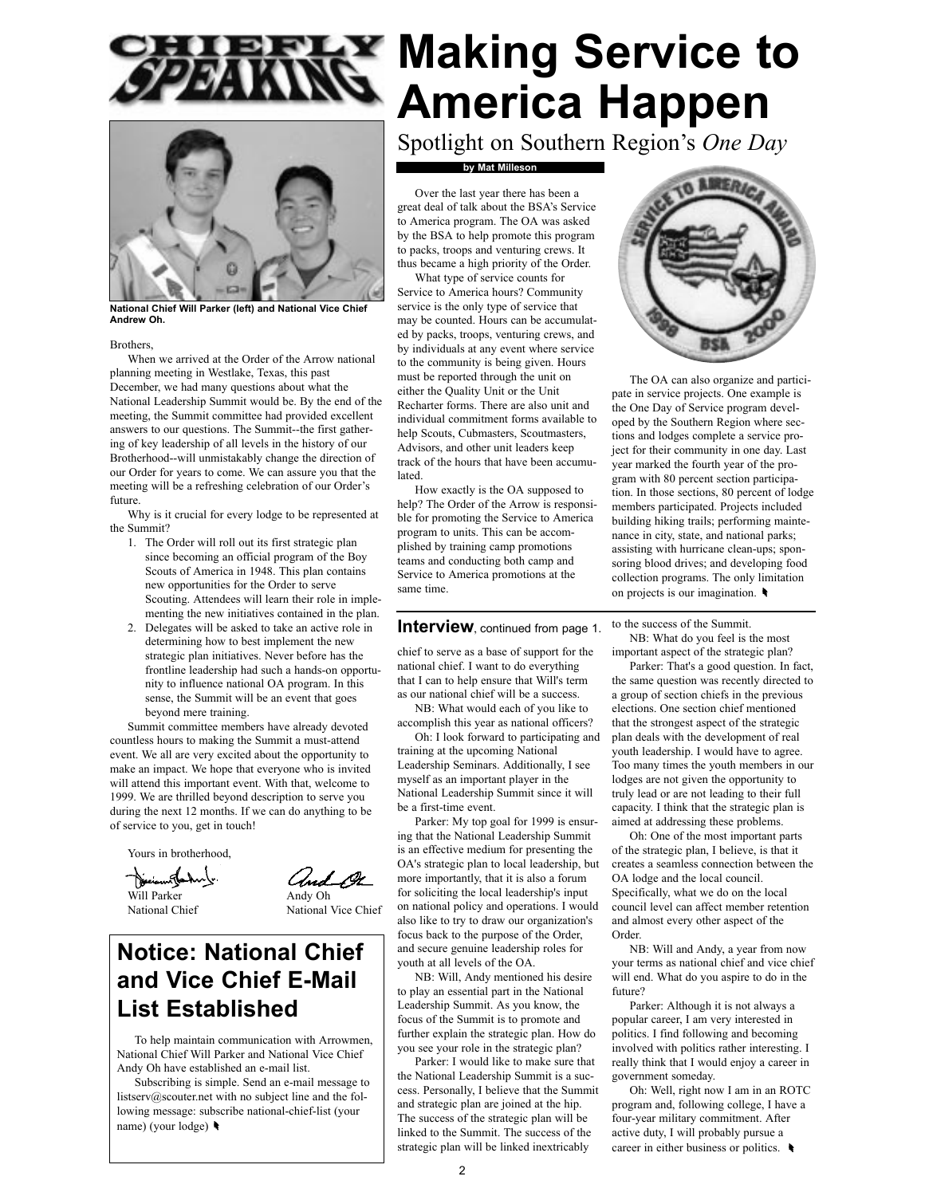



National Chief Will Parker (left) and National Vice Chief Andrew Oh.

### **Brothers**

When we arrived at the Order of the Arrow national planning meeting in Westlake, Texas, this past December, we had many questions about what the National Leadership Summit would be. By the end of the meeting, the Summit committee had provided excellent answers to our questions. The Summit--the first gathering of key leadership of all levels in the history of our Brotherhood--will unmistakably change the direction of our Order for years to come. We can assure you that the meeting will be a refreshing celebration of our Order's future.

Why is it crucial for every lodge to be represented at the Summit?

- 1. The Order will roll out its first strategic plan since becoming an official program of the Boy Scouts of America in 1948. This plan contains new opportunities for the Order to serve Scouting. Attendees will learn their role in implementing the new initiatives contained in the plan.
- 2. Delegates will be asked to take an active role in determining how to best implement the new strategic plan initiatives. Never before has the frontline leadership had such a hands-on opportunity to influence national OA program. In this sense, the Summit will be an event that goes beyond mere training.

Summit committee members have already devoted countless hours to making the Summit a must-attend event. We all are very excited about the opportunity to make an impact. We hope that everyone who is invited will attend this important event. With that, welcome to 1999. We are thrilled beyond description to serve you during the next 12 months. If we can do anything to be of service to you, get in touch!

Yours in brotherhood,

Deciant la haly

Will Parker Andy Oh<br>
National Chief National National Vice Chief

Notice: National Chief and Vice Chief E-Mail

To help maintain communication with Arrowmen, National Chief Will Parker and National Vice Chief Andy Oh have established an e-mail list.

List Established

Subscribing is simple. Send an e-mail message to listserv@scouter.net with no subject line and the following message: subscribe national-chief-list (your name) (your lodge)

# **EX Making Service to** America Happen

Spotlight on Southern Region's One Day

### by Mat Milleson

Over the last year there has been a great deal of talk about the BSA's Service to America program. The OA was asked by the BSA to help promote this program to packs, troops and venturing crews. It thus became a high priority of the Order.

What type of service counts for Service to America hours? Community service is the only type of service that may be counted. Hours can be accumulated by packs, troops, venturing crews, and by individuals at any event where service to the community is being given. Hours must be reported through the unit on either the Quality Unit or the Unit Recharter forms. There are also unit and individual commitment forms available to help Scouts, Cubmasters, Scoutmasters, Advisors, and other unit leaders keep track of the hours that have been accumu**lated** 

How exactly is the OA supposed to help? The Order of the Arrow is responsible for promoting the Service to America program to units. This can be accomplished by training camp promotions teams and conducting both camp and Service to America promotions at the same time.

### **Interview**, continued from page 1.

chief to serve as a base of support for the national chief. I want to do everything that I can to help ensure that Will's term as our national chief will be a success.

NB: What would each of you like to accomplish this year as national officers?

Oh: I look forward to participating and training at the upcoming National Leadership Seminars. Additionally, I see myself as an important player in the National Leadership Summit since it will be a first-time event.

Parker: My top goal for 1999 is ensuring that the National Leadership Summit is an effective medium for presenting the OA's strategic plan to local leadership, but more importantly, that it is also a forum for soliciting the local leadership's input on national policy and operations. I would also like to try to draw our organization's focus back to the purpose of the Order, and secure genuine leadership roles for youth at all levels of the OA.

NB: Will, Andy mentioned his desire to play an essential part in the National Leadership Summit. As you know, the focus of the Summit is to promote and further explain the strategic plan. How do you see your role in the strategic plan?

Parker: I would like to make sure that the National Leadership Summit is a success. Personally, I believe that the Summit and strategic plan are joined at the hip. The success of the strategic plan will be linked to the Summit. The success of the strategic plan will be linked inextricably



The OA can also organize and participate in service projects. One example is the One Day of Service program developed by the Southern Region where sections and lodges complete a service project for their community in one day. Last year marked the fourth year of the program with 80 percent section participation. In those sections, 80 percent of lodge members participated. Projects included building hiking trails; performing maintenance in city, state, and national parks; assisting with hurricane clean-ups; sponsoring blood drives; and developing food collection programs. The only limitation on projects is our imagination.

to the success of the Summit.

NB: What do you feel is the most important aspect of the strategic plan?

Parker: That's a good question. In fact, the same question was recently directed to a group of section chiefs in the previous elections. One section chief mentioned that the strongest aspect of the strategic plan deals with the development of real youth leadership. I would have to agree. Too many times the youth members in our lodges are not given the opportunity to truly lead or are not leading to their full capacity. I think that the strategic plan is aimed at addressing these problems.

Oh: One of the most important parts of the strategic plan, I believe, is that it creates a seamless connection between the OA lodge and the local council. Specifically, what we do on the local council level can affect member retention and almost every other aspect of the Order.

NB: Will and Andy, a year from now your terms as national chief and vice chief will end. What do you aspire to do in the future?

Parker: Although it is not always a popular career, I am very interested in politics. I find following and becoming involved with politics rather interesting. I really think that I would enjoy a career in government someday.

Oh: Well, right now I am in an ROTC program and, following college, I have a four-year military commitment. After active duty, I will probably pursue a career in either business or politics.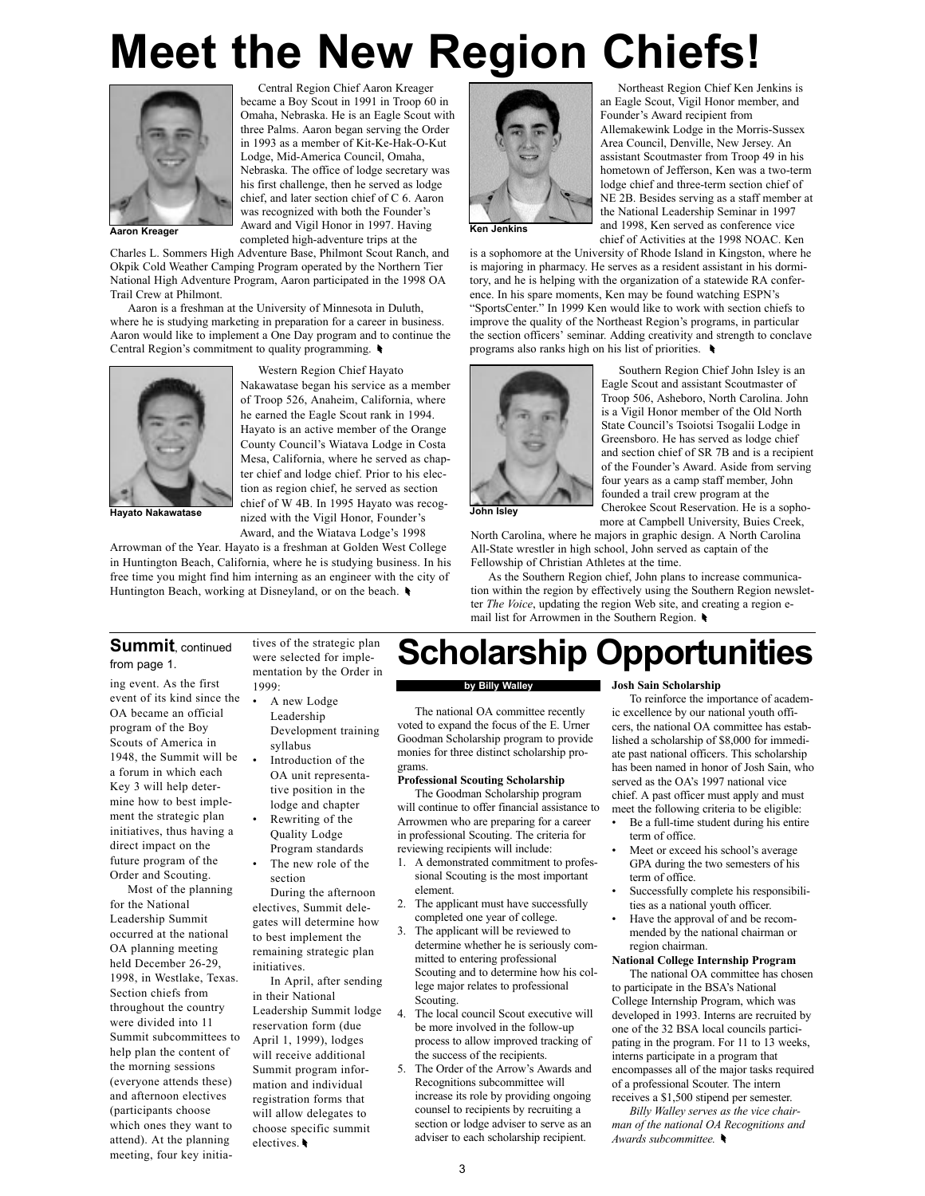# Meet the New Region Chiefs!



Aaron Kreager Award and Vigil Honor in 1997. Having Ken Jenkins completed high-adventure trips at the Charles L. Sommers High Adventure Base, Philmont Scout Ranch, and Okpik Cold Weather Camping Program operated by the Northern Tier National High Adventure Program, Aaron participated in the 1998 OA Trail Crew at Philmont.

Aaron is a freshman at the University of Minnesota in Duluth, where he is studying marketing in preparation for a career in business. Aaron would like to implement a One Day program and to continue the Central Region's commitment to quality programming.



Western Region Chief Hayato Nakawatase began his service as a member of Troop 526, Anaheim, California, where he earned the Eagle Scout rank in 1994. Hayato is an active member of the Orange County Council's Wiatava Lodge in Costa Mesa, California, where he served as chapter chief and lodge chief. Prior to his election as region chief, he served as section chief of W 4B. In 1995 Hayato was recog-Hayato Nakawatase mized with the Vigil Honor, Founder's John Isley Award, and the Wiatava Lodge's 1998

Central Region Chief Aaron Kreager became a Boy Scout in 1991 in Troop 60 in Omaha, Nebraska. He is an Eagle Scout with three Palms. Aaron began serving the Order in 1993 as a member of Kit-Ke-Hak-O-Kut Lodge, Mid-America Council, Omaha, Nebraska. The office of lodge secretary was his first challenge, then he served as lodge chief, and later section chief of C 6. Aaron was recognized with both the Founder's

Arrowman of the Year. Hayato is a freshman at Golden West College in Huntington Beach, California, where he is studying business. In his free time you might find him interning as an engineer with the city of Huntington Beach, working at Disneyland, or on the beach.



Northeast Region Chief Ken Jenkins is an Eagle Scout, Vigil Honor member, and Founder's Award recipient from Allemakewink Lodge in the Morris-Sussex Area Council, Denville, New Jersey. An assistant Scoutmaster from Troop 49 in his hometown of Jefferson, Ken was a two-term lodge chief and three-term section chief of NE 2B. Besides serving as a staff member at the National Leadership Seminar in 1997 and 1998, Ken served as conference vice chief of Activities at the 1998 NOAC. Ken

is a sophomore at the University of Rhode Island in Kingston, where he is majoring in pharmacy. He serves as a resident assistant in his dormitory, and he is helping with the organization of a statewide RA conference. In his spare moments, Ken may be found watching ESPN's ìSportsCenter.î In 1999 Ken would like to work with section chiefs to improve the quality of the Northeast Region's programs, in particular the section officers' seminar. Adding creativity and strength to conclave programs also ranks high on his list of priorities.



Southern Region Chief John Isley is an Eagle Scout and assistant Scoutmaster of Troop 506, Asheboro, North Carolina. John is a Vigil Honor member of the Old North State Council's Tsoiotsi Tsogalii Lodge in Greensboro. He has served as lodge chief and section chief of SR 7B and is a recipient of the Founder's Award. Aside from serving four years as a camp staff member, John founded a trail crew program at the Cherokee Scout Reservation. He is a sophomore at Campbell University, Buies Creek,

North Carolina, where he majors in graphic design. A North Carolina All-State wrestler in high school, John served as captain of the Fellowship of Christian Athletes at the time.

As the Southern Region chief, John plans to increase communication within the region by effectively using the Southern Region newsletter The Voice, updating the region Web site, and creating a region email list for Arrowmen in the Southern Region.

Scholarship Opportunities

### Summit, continued from page 1.

ing event. As the first event of its kind since the OA became an official program of the Boy Scouts of America in 1948, the Summit will be a forum in which each Key 3 will help determine how to best implement the strategic plan initiatives, thus having a direct impact on the future program of the Order and Scouting.

Most of the planning for the National Leadership Summit occurred at the national OA planning meeting held December 26-29, 1998, in Westlake, Texas. Section chiefs from throughout the country were divided into 11 Summit subcommittees to help plan the content of the morning sessions (everyone attends these) and afternoon electives (participants choose which ones they want to attend). At the planning meeting, four key initiatives of the strategic plan were selected for implementation by the Order in 1999:

- A new Lodge Leadership Development training syllabus
	- Introduction of the OA unit representative position in the lodge and chapter
	- Rewriting of the Quality Lodge Program standards
	- The new role of the section

During the afternoon electives, Summit delegates will determine how to best implement the remaining strategic plan initiatives.

In April, after sending in their National Leadership Summit lodge reservation form (due April 1, 1999), lodges will receive additional Summit program information and individual registration forms that will allow delegates to choose specific summit electives.

### by Billy Walley

The national OA committee recently voted to expand the focus of the E. Urner Goodman Scholarship program to provide monies for three distinct scholarship programs.

### Professional Scouting Scholarship

The Goodman Scholarship program will continue to offer financial assistance to Arrowmen who are preparing for a career in professional Scouting. The criteria for reviewing recipients will include:

- 1. A demonstrated commitment to professional Scouting is the most important element.
- 2. The applicant must have successfully completed one year of college.
- 3. The applicant will be reviewed to determine whether he is seriously committed to entering professional Scouting and to determine how his college major relates to professional Scouting.
- 4. The local council Scout executive will be more involved in the follow-up process to allow improved tracking of the success of the recipients.
- 5. The Order of the Arrow's Awards and Recognitions subcommittee will increase its role by providing ongoing counsel to recipients by recruiting a section or lodge adviser to serve as an adviser to each scholarship recipient.

### Josh Sain Scholarship

To reinforce the importance of academic excellence by our national youth officers, the national OA committee has established a scholarship of \$8,000 for immediate past national officers. This scholarship has been named in honor of Josh Sain, who served as the OA's 1997 national vice chief. A past officer must apply and must meet the following criteria to be eligible:

- Be a full-time student during his entire term of office.
- Meet or exceed his school's average GPA during the two semesters of his term of office.
- Successfully complete his responsibilities as a national youth officer.
- Have the approval of and be recommended by the national chairman or region chairman.

### National College Internship Program

The national OA committee has chosen to participate in the BSA's National College Internship Program, which was developed in 1993. Interns are recruited by one of the 32 BSA local councils participating in the program. For 11 to 13 weeks, interns participate in a program that encompasses all of the major tasks required of a professional Scouter. The intern receives a \$1,500 stipend per semester.

Billy Walley serves as the vice chairman of the national OA Recognitions and Awards subcommittee.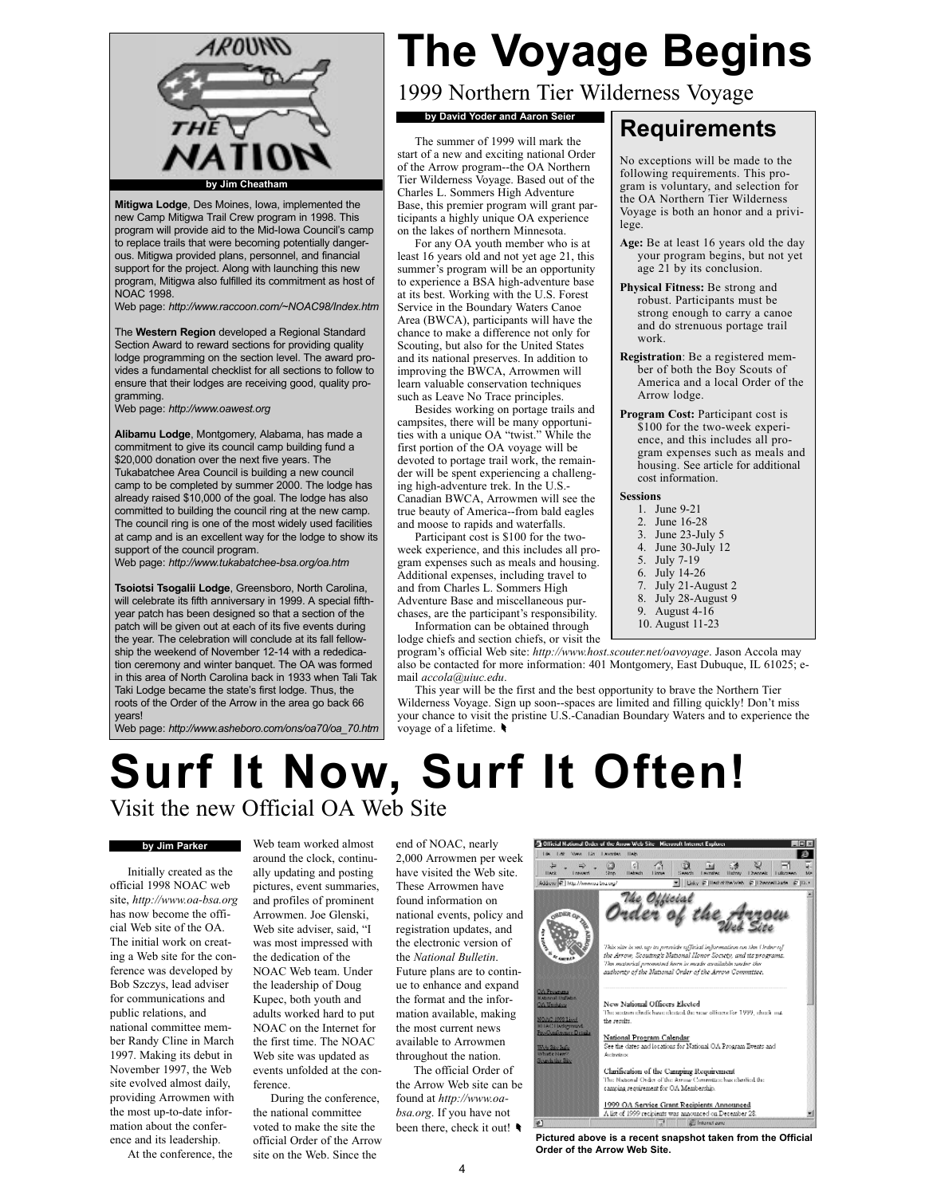

Mitigwa Lodge, Des Moines, Iowa, implemented the new Camp Mitigwa Trail Crew program in 1998. This program will provide aid to the Mid-Iowa Council's camp to replace trails that were becoming potentially dangerous. Mitigwa provided plans, personnel, and financial support for the project. Along with launching this new program, Mitigwa also fulfilled its commitment as host of NOAC 1998.

Web page: http://www.raccoon.com/~NOAC98/Index.htm

The Western Region developed a Regional Standard Section Award to reward sections for providing quality lodge programming on the section level. The award provides a fundamental checklist for all sections to follow to ensure that their lodges are receiving good, quality programming.

Web page: http://www.oawest.org

Alibamu Lodge, Montgomery, Alabama, has made a commitment to give its council camp building fund a \$20,000 donation over the next five years. The Tukabatchee Area Council is building a new council camp to be completed by summer 2000. The lodge has already raised \$10,000 of the goal. The lodge has also committed to building the council ring at the new camp. The council ring is one of the most widely used facilities at camp and is an excellent way for the lodge to show its support of the council program.

Web page: http://www.tukabatchee-bsa.org/oa.htm

Tsoiotsi Tsogalii Lodge, Greensboro, North Carolina, will celebrate its fifth anniversary in 1999. A special fifthyear patch has been designed so that a section of the patch will be given out at each of its five events during the year. The celebration will conclude at its fall fellowship the weekend of November 12-14 with a rededication ceremony and winter banquet. The OA was formed in this area of North Carolina back in 1933 when Tali Tak Taki Lodge became the state's first lodge. Thus, the roots of the Order of the Arrow in the area go back 66 years!

Web page: http://www.asheboro.com/ons/oa70/oa\_70.htm

# The Voyage Begins

lege.

work.

Arrow lodge.

cost information.

1. June 9-21<br>2. June 16-2 June 16-28 3. June 23-July 5<br>4 June 30-July 12 June 30-July 12 5. July 7-19 6. July 14-26 7. July 21-August 2 July 28-August 9 9. August 4-16 10. August 11-23

Sessions

No exceptions will be made to the following requirements. This program is voluntary, and selection for the OA Northern Tier Wilderness Voyage is both an honor and a privi-

Age: Be at least 16 years old the day your program begins, but not yet age 21 by its conclusion. Physical Fitness: Be strong and robust. Participants must be strong enough to carry a canoe and do strenuous portage trail

Registration: Be a registered member of both the Boy Scouts of America and a local Order of the

Program Cost: Participant cost is \$100 for the two-week experience, and this includes all program expenses such as meals and housing. See article for additional

1999 Northern Tier Wilderness Voyage

## by David Yoder and Aaron Seier Requirements

The summer of 1999 will mark the start of a new and exciting national Order of the Arrow program--the OA Northern Tier Wilderness Voyage. Based out of the Charles L. Sommers High Adventure Base, this premier program will grant participants a highly unique OA experience on the lakes of northern Minnesota.

For any OA youth member who is at least 16 years old and not yet age 21, this summer's program will be an opportunity to experience a BSA high-adventure base at its best. Working with the U.S. Forest Service in the Boundary Waters Canoe Area (BWCA), participants will have the chance to make a difference not only for Scouting, but also for the United States and its national preserves. In addition to improving the BWCA, Arrowmen will learn valuable conservation techniques such as Leave No Trace principles.

Besides working on portage trails and campsites, there will be many opportunities with a unique OA "twist." While the first portion of the OA voyage will be devoted to portage trail work, the remainder will be spent experiencing a challenging high-adventure trek. In the U.S.- Canadian BWCA, Arrowmen will see the true beauty of America--from bald eagles and moose to rapids and waterfalls.

Participant cost is \$100 for the twoweek experience, and this includes all program expenses such as meals and housing. Additional expenses, including travel to and from Charles L. Sommers High Adventure Base and miscellaneous purchases, are the participant's responsibility.

Information can be obtained through lodge chiefs and section chiefs, or visit the

program's official Web site: http://www.host.scouter.net/oavoyage. Jason Accola may also be contacted for more information: 401 Montgomery, East Dubuque, IL 61025; email accola@uiuc.edu.

This year will be the first and the best opportunity to brave the Northern Tier Wilderness Voyage. Sign up soon--spaces are limited and filling quickly! Don't miss your chance to visit the pristine U.S.-Canadian Boundary Waters and to experience the voyage of a lifetime.

## Surf It Now, Surf It Often! Visit the new Official OA Web Site

### by Jim Parker

Initially created as the official 1998 NOAC web site, http://www.oa-bsa.org has now become the official Web site of the OA. The initial work on creating a Web site for the conference was developed by Bob Szczys, lead adviser for communications and public relations, and national committee member Randy Cline in March 1997. Making its debut in November 1997, the Web site evolved almost daily, providing Arrowmen with the most up-to-date information about the conference and its leadership.

At the conference, the

Web team worked almost around the clock, continually updating and posting pictures, event summaries, and profiles of prominent Arrowmen. Joe Glenski, Web site adviser, said, "I was most impressed with the dedication of the NOAC Web team. Under the leadership of Doug Kupec, both youth and adults worked hard to put NOAC on the Internet for the first time. The NOAC Web site was updated as events unfolded at the conference. During the conference,

the national committee voted to make the site the official Order of the Arrow site on the Web. Since the

end of NOAC, nearly 2,000 Arrowmen per week have visited the Web site. These Arrowmen have found information on national events, policy and registration updates, and the electronic version of the National Bulletin. Future plans are to continue to enhance and expand the format and the information available, making the most current news available to Arrowmen throughout the nation. The official Order of

the Arrow Web site can be found at http://www.oabsa.org. If you have not been there, check it out!



Pictured above is a recent snapshot taken from the Official Order of the Arrow Web Site.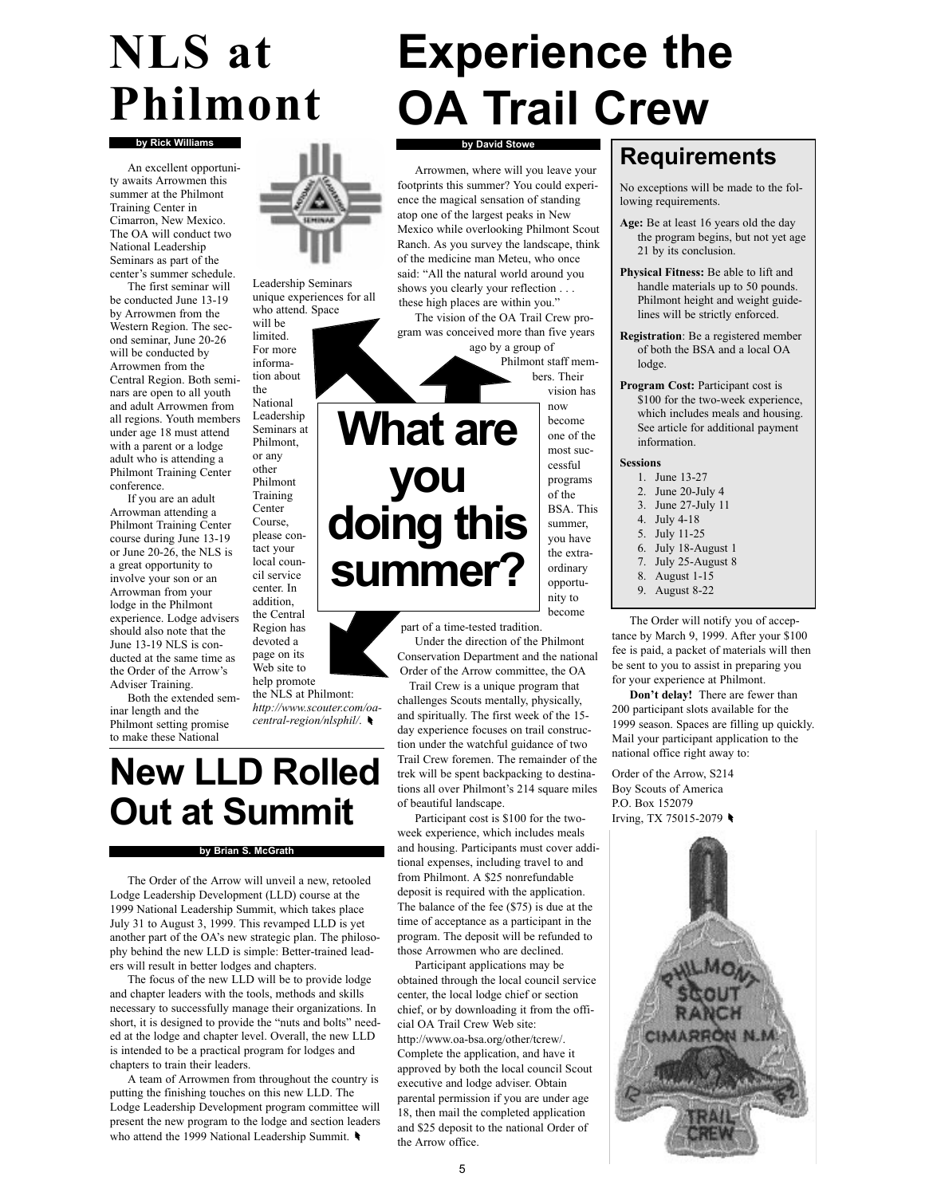# NLS at Philmont

An excellent opportunity awaits Arrowmen this summer at the Philmont Training Center in Cimarron, New Mexico. The OA will conduct two National Leadership Seminars as part of the center's summer schedule.

The first seminar will be conducted June 13-19 by Arrowmen from the Western Region. The second seminar, June 20-26 will be conducted by Arrowmen from the Central Region. Both seminars are open to all youth and adult Arrowmen from all regions. Youth members under age 18 must attend with a parent or a lodge adult who is attending a Philmont Training Center conference.

If you are an adult Arrowman attending a Philmont Training Center course during June 13-19 or June 20-26, the NLS is a great opportunity to involve your son or an Arrowman from your lodge in the Philmont experience. Lodge advisers should also note that the June 13-19 NLS is conducted at the same time as the Order of the Arrow's Adviser Training.

Both the extended seminar length and the Philmont setting promise to make these National

by Rick Williams **by David Stowe** 

Leadership Seminars unique experiences for all who attend. Space

will be limited. For more information about the

National Leadership Seminars at Philmont, or any other Philmont Training Center Course, please contact your local council service

center. In addition, the Central Region has devoted a page on its Web site to help promote

the NLS at Philmont:

http://www.scouter.com/oacentral-region/nlsphil/.

## New LLD Rolled Out at Summit

### by Brian S. McGrath

The Order of the Arrow will unveil a new, retooled Lodge Leadership Development (LLD) course at the 1999 National Leadership Summit, which takes place July 31 to August 3, 1999. This revamped LLD is yet another part of the OA's new strategic plan. The philosophy behind the new LLD is simple: Better-trained leaders will result in better lodges and chapters.

The focus of the new LLD will be to provide lodge and chapter leaders with the tools, methods and skills necessary to successfully manage their organizations. In short, it is designed to provide the "nuts and bolts" needed at the lodge and chapter level. Overall, the new LLD is intended to be a practical program for lodges and chapters to train their leaders.

A team of Arrowmen from throughout the country is putting the finishing touches on this new LLD. The Lodge Leadership Development program committee will present the new program to the lodge and section leaders who attend the 1999 National Leadership Summit.



Arrowmen, where will you leave your footprints this summer? You could experience the magical sensation of standing atop one of the largest peaks in New Mexico while overlooking Philmont Scout Ranch. As you survey the landscape, think of the medicine man Meteu, who once said: "All the natural world around you shows you clearly your reflection . . . these high places are within you."

The vision of the OA Trail Crew program was conceived more than five years

ago by a group of Philmont staff members. Their vision has

> now become one of the most successful programs of the BSA. This summer, you have the extraordinary opportunity to become

# What are you doing this summer?

part of a time-tested tradition. Under the direction of the Philmont Conservation Department and the national Order of the Arrow committee, the OA

Trail Crew is a unique program that challenges Scouts mentally, physically, and spiritually. The first week of the 15 day experience focuses on trail construction under the watchful guidance of two Trail Crew foremen. The remainder of the trek will be spent backpacking to destinations all over Philmont's 214 square miles of beautiful landscape.

Participant cost is \$100 for the twoweek experience, which includes meals and housing. Participants must cover additional expenses, including travel to and from Philmont. A \$25 nonrefundable deposit is required with the application. The balance of the fee (\$75) is due at the time of acceptance as a participant in the program. The deposit will be refunded to those Arrowmen who are declined.

Participant applications may be obtained through the local council service center, the local lodge chief or section chief, or by downloading it from the official OA Trail Crew Web site: http://www.oa-bsa.org/other/tcrew/. Complete the application, and have it approved by both the local council Scout executive and lodge adviser. Obtain parental permission if you are under age 18, then mail the completed application and \$25 deposit to the national Order of the Arrow office.

### Requirements

No exceptions will be made to the following requirements.

- Age: Be at least 16 years old the day the program begins, but not yet age 21 by its conclusion.
- Physical Fitness: Be able to lift and handle materials up to 50 pounds. Philmont height and weight guidelines will be strictly enforced.
- Registration: Be a registered member of both the BSA and a local OA lodge.
- Program Cost: Participant cost is \$100 for the two-week experience, which includes meals and housing. See article for additional payment information.

### Sessions

- 1. June 13-27 2. June 20-July 4
- 3. June 27-July 11
- 4. July 4-18
- 5. July 11-25
- 6. July 18-August 1
- 7. July 25-August 8
- 8. August 1-15
- 9. August 8-22

The Order will notify you of acceptance by March 9, 1999. After your \$100 fee is paid, a packet of materials will then be sent to you to assist in preparing you for your experience at Philmont.

Don't delay! There are fewer than 200 participant slots available for the 1999 season. Spaces are filling up quickly. Mail your participant application to the national office right away to:

Order of the Arrow, S214 Boy Scouts of America P.O. Box 152079 Irving, TX 75015-2079

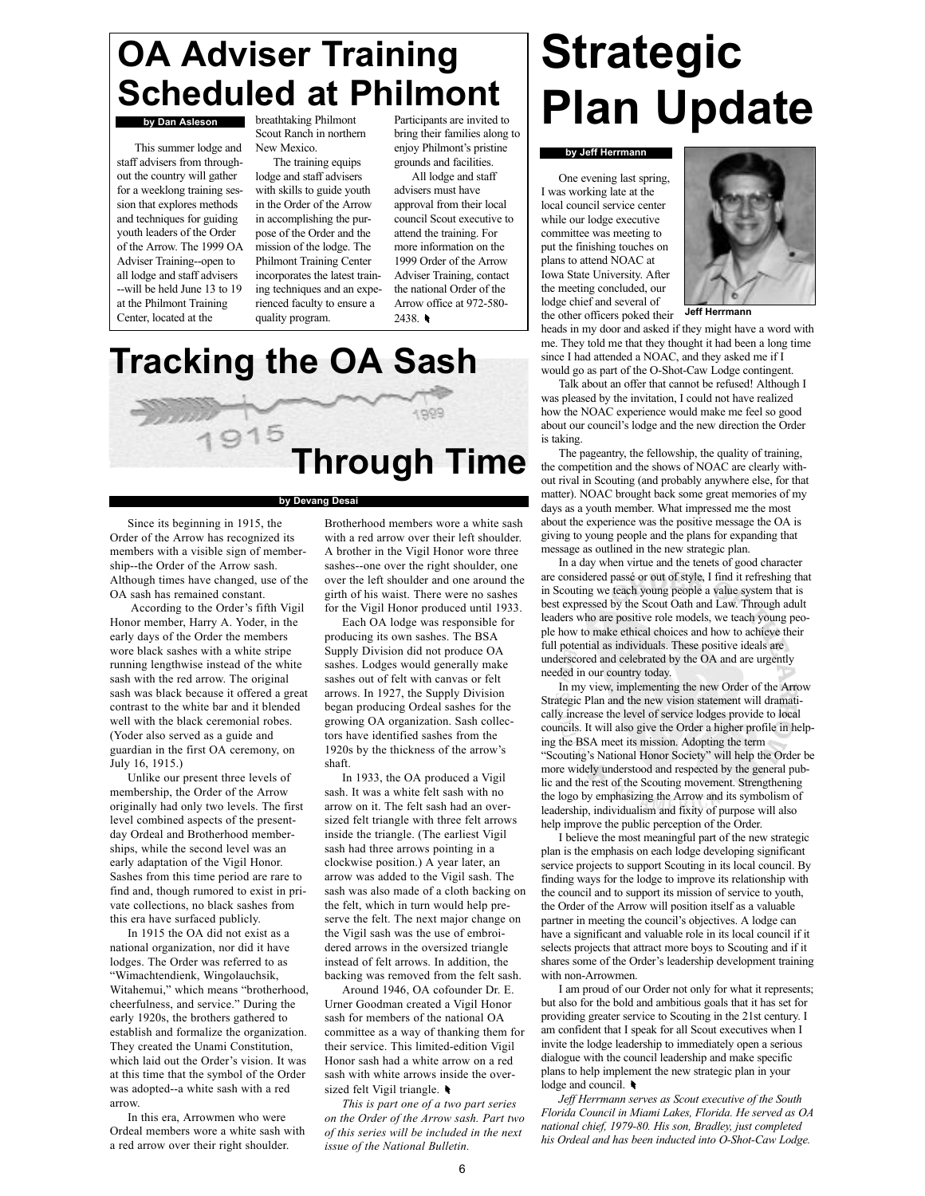## OA Adviser Training Scheduled at Philmont

### by Dan Asleson

This summer lodge and staff advisers from throughout the country will gather for a weeklong training session that explores methods and techniques for guiding youth leaders of the Order of the Arrow. The 1999 OA Adviser Training--open to all lodge and staff advisers --will be held June 13 to 19 at the Philmont Training Center, located at the

breathtaking Philmont Scout Ranch in northern New Mexico.

The training equips lodge and staff advisers with skills to guide youth in the Order of the Arrow in accomplishing the purpose of the Order and the mission of the lodge. The Philmont Training Center incorporates the latest training techniques and an experienced faculty to ensure a quality program.

Participants are invited to bring their families along to enjoy Philmont's pristine grounds and facilities.

All lodge and staff advisers must have approval from their local council Scout executive to attend the training. For more information on the 1999 Order of the Arrow Adviser Training, contact the national Order of the Arrow office at 972-580- 2438.

# Strategic Plan Update

### **by Jeff Herrmann**

One evening last spring, I was working late at the local council service center while our lodge executive committee was meeting to put the finishing touches on plans to attend NOAC at Iowa State University. After the meeting concluded, our lodge chief and several of the other officers poked their



Jeff Herrmann

heads in my door and asked if they might have a word with me. They told me that they thought it had been a long time since I had attended a NOAC, and they asked me if I would go as part of the O-Shot-Caw Lodge contingent.

Talk about an offer that cannot be refused! Although I was pleased by the invitation, I could not have realized how the NOAC experience would make me feel so good about our council's lodge and the new direction the Order is taking.

The pageantry, the fellowship, the quality of training, the competition and the shows of NOAC are clearly without rival in Scouting (and probably anywhere else, for that matter). NOAC brought back some great memories of my days as a youth member. What impressed me the most about the experience was the positive message the OA is giving to young people and the plans for expanding that message as outlined in the new strategic plan.

In a day when virtue and the tenets of good character are considered passé or out of style, I find it refreshing that in Scouting we teach young people a value system that is best expressed by the Scout Oath and Law. Through adult leaders who are positive role models, we teach young people how to make ethical choices and how to achieve their full potential as individuals. These positive ideals are underscored and celebrated by the OA and are urgently needed in our country today.

In my view, implementing the new Order of the Arrow Strategic Plan and the new vision statement will dramatically increase the level of service lodges provide to local councils. It will also give the Order a higher profile in helping the BSA meet its mission. Adopting the term "Scouting's National Honor Society" will help the Order be more widely understood and respected by the general public and the rest of the Scouting movement. Strengthening the logo by emphasizing the Arrow and its symbolism of leadership, individualism and fixity of purpose will also help improve the public perception of the Order.

I believe the most meaningful part of the new strategic plan is the emphasis on each lodge developing significant service projects to support Scouting in its local council. By finding ways for the lodge to improve its relationship with the council and to support its mission of service to youth, the Order of the Arrow will position itself as a valuable partner in meeting the council's objectives. A lodge can have a significant and valuable role in its local council if it selects projects that attract more boys to Scouting and if it shares some of the Order's leadership development training with non-Arrowmen.

I am proud of our Order not only for what it represents; but also for the bold and ambitious goals that it has set for providing greater service to Scouting in the 21st century. I am confident that I speak for all Scout executives when I invite the lodge leadership to immediately open a serious dialogue with the council leadership and make specific plans to help implement the new strategic plan in your lodge and council.

Jeff Herrmann serves as Scout executive of the South Florida Council in Miami Lakes, Florida. He served as OA national chief, 1979-80. His son, Bradley, just completed his Ordeal and has been inducted into O-Shot-Caw Lodge.



Tracking the OA Sash

### by Devang Desai

Since its beginning in 1915, the Order of the Arrow has recognized its members with a visible sign of membership--the Order of the Arrow sash. Although times have changed, use of the OA sash has remained constant.

According to the Order's fifth Vigil Honor member, Harry A. Yoder, in the early days of the Order the members wore black sashes with a white stripe running lengthwise instead of the white sash with the red arrow. The original sash was black because it offered a great contrast to the white bar and it blended well with the black ceremonial robes. (Yoder also served as a guide and guardian in the first OA ceremony, on July 16, 1915.)

Unlike our present three levels of membership, the Order of the Arrow originally had only two levels. The first level combined aspects of the presentday Ordeal and Brotherhood memberships, while the second level was an early adaptation of the Vigil Honor. Sashes from this time period are rare to find and, though rumored to exist in private collections, no black sashes from this era have surfaced publicly.

In 1915 the OA did not exist as a national organization, nor did it have lodges. The Order was referred to as ìWimachtendienk, Wingolauchsik, Witahemui," which means "brotherhood, cheerfulness, and service." During the early 1920s, the brothers gathered to establish and formalize the organization. They created the Unami Constitution, which laid out the Order's vision. It was at this time that the symbol of the Order was adopted--a white sash with a red arrow.

In this era, Arrowmen who were Ordeal members wore a white sash with a red arrow over their right shoulder.

Brotherhood members wore a white sash with a red arrow over their left shoulder. A brother in the Vigil Honor wore three sashes--one over the right shoulder, one over the left shoulder and one around the girth of his waist. There were no sashes for the Vigil Honor produced until 1933.

Each OA lodge was responsible for producing its own sashes. The BSA Supply Division did not produce OA sashes. Lodges would generally make sashes out of felt with canvas or felt arrows. In 1927, the Supply Division began producing Ordeal sashes for the growing OA organization. Sash collectors have identified sashes from the 1920s by the thickness of the arrow's shaft.

In 1933, the OA produced a Vigil sash. It was a white felt sash with no arrow on it. The felt sash had an oversized felt triangle with three felt arrows inside the triangle. (The earliest Vigil sash had three arrows pointing in a clockwise position.) A year later, an arrow was added to the Vigil sash. The sash was also made of a cloth backing on the felt, which in turn would help preserve the felt. The next major change on the Vigil sash was the use of embroidered arrows in the oversized triangle instead of felt arrows. In addition, the backing was removed from the felt sash.

Around 1946, OA cofounder Dr. E. Urner Goodman created a Vigil Honor sash for members of the national OA committee as a way of thanking them for their service. This limited-edition Vigil Honor sash had a white arrow on a red sash with white arrows inside the oversized felt Vigil triangle.

This is part one of a two part series on the Order of the Arrow sash. Part two of this series will be included in the next issue of the National Bulletin.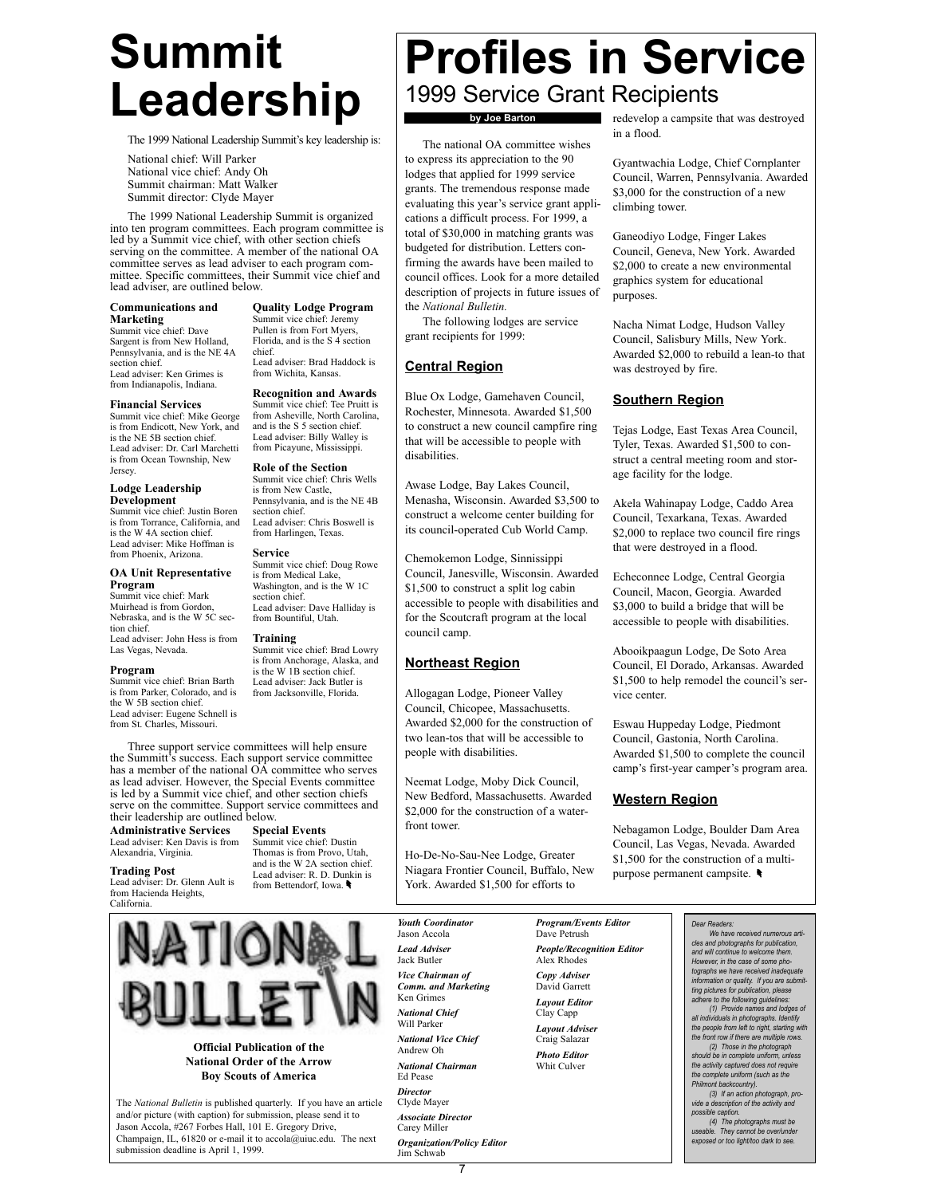# Summit Leadership

The 1999 National Leadership Summit's key leadership is:

National chief: Will Parker National vice chief: Andy Oh Summit chairman: Matt Walker Summit director: Clyde Mayer

The 1999 National Leadership Summit is organized into ten program committees. Each program committee is led by a Summit vice chief, with other section chiefs serving on the committee. A member of the national OA committee serves as lead adviser to each program committee. Specific committees, their Summit vice chief and lead adviser, are outlined below.

chief.

section chief.

Service

section chief.

Training

Quality Lodge Program Summit vice chief: Jeremy Pullen is from Fort Myers, Florida, and is the S 4 section

Lead adviser: Brad Haddock is from Wichita, Kansas. Recognition and Awards Summit vice chief: Tee Pruitt is from Asheville, North Carolina, and is the S 5 section chief. Lead adviser: Billy Walley is from Picayune, Mississippi. Role of the Section Summit vice chief: Chris Wells is from New Castle, Pennsylvania, and is the NE 4B

Lead adviser: Chris Boswell is from Harlingen, Texas.

Summit vice chief: Doug Rowe is from Medical Lake, Washington, and is the W 1C

Lead adviser: Dave Halliday is from Bountiful, Utah.

Summit vice chief: Brad Lowry is from Anchorage, Alaska, and is the W 1B section chief. Lead adviser: Jack Butler is from Jacksonville, Florida.

#### Communications and Marketing

Summit vice chief: Dave Sargent is from New Holland, Pennsylvania, and is the NE 4A section chief. Lead adviser: Ken Grimes is from Indianapolis, Indiana.

### Financial Services

Summit vice chief: Mike George is from Endicott, New York, and is the NE 5B section chief. Lead adviser: Dr. Carl Marchetti is from Ocean Township, New Jersey.

### Lodge Leadership Development

Summit vice chief: Justin Boren is from Torrance, California, and is the W 4A section chief. Lead adviser: Mike Hoffman is from Phoenix, Arizona.

### OA Unit Representative Program

Summit vice chief: Mark Muirhead is from Gordon, Nebraska, and is the W 5C section chief<sup>.</sup> Lead adviser: John Hess is from Las Vegas, Nevada.

### Program

Summit vice chief: Brian Barth is from Parker, Colorado, and is the W 5B section chief. Lead adviser: Eugene Schnell is from St. Charles, Missouri.

Three support service committees will help ensure the Summitt's success. Each support service committee has a member of the national OA committee who serves as lead adviser. However, the Special Events committee is led by a Summit vice chief, and other section chiefs serve on the committee. Support service committees and their leadership are outlined below.

Administrative Services Lead adviser: Ken Davis is from Alexandria, Virginia.

#### Trading Post Lead adviser: Dr. Glenn Ault is from Hacienda Heights, California.

Summit vice chief: Dustin Thomas is from Provo, Utah, and is the W 2A section chief. Lead adviser: R. D. Dunkin is from Bettendorf, Iowa.

Special Events



Official Publication of the National Order of the Arrow Boy Scouts of America

The National Bulletin is published quarterly. If you have an article and/or picture (with caption) for submission, please send it to Jason Accola, #267 Forbes Hall, 101 E. Gregory Drive, Champaign, IL, 61820 or e-mail it to accola@uiuc.edu. The next submission deadline is April 1, 1999.

### Profiles in Service 1999 Service Grant Recipients by Joe Barton

The national OA committee wishes to express its appreciation to the 90 lodges that applied for 1999 service grants. The tremendous response made evaluating this year's service grant applications a difficult process. For 1999, a total of \$30,000 in matching grants was budgeted for distribution. Letters confirming the awards have been mailed to council offices. Look for a more detailed description of projects in future issues of the National Bulletin.

The following lodges are service grant recipients for 1999:

### Central Region

Blue Ox Lodge, Gamehaven Council, Rochester, Minnesota. Awarded \$1,500 to construct a new council campfire ring that will be accessible to people with disabilities.

Awase Lodge, Bay Lakes Council, Menasha, Wisconsin. Awarded \$3,500 to construct a welcome center building for its council-operated Cub World Camp.

Chemokemon Lodge, Sinnissippi Council, Janesville, Wisconsin. Awarded \$1,500 to construct a split log cabin accessible to people with disabilities and for the Scoutcraft program at the local council camp.

### Northeast Region

Allogagan Lodge, Pioneer Valley Council, Chicopee, Massachusetts. Awarded \$2,000 for the construction of two lean-tos that will be accessible to people with disabilities.

Neemat Lodge, Moby Dick Council, New Bedford, Massachusetts. Awarded \$2,000 for the construction of a waterfront tower.

Ho-De-No-Sau-Nee Lodge, Greater Niagara Frontier Council, Buffalo, New York. Awarded \$1,500 for efforts to

redevelop a campsite that was destroyed in a flood.

Gyantwachia Lodge, Chief Cornplanter Council, Warren, Pennsylvania. Awarded \$3,000 for the construction of a new climbing tower.

Ganeodiyo Lodge, Finger Lakes Council, Geneva, New York. Awarded \$2,000 to create a new environmental graphics system for educational purposes.

Nacha Nimat Lodge, Hudson Valley Council, Salisbury Mills, New York. Awarded \$2,000 to rebuild a lean-to that was destroyed by fire.

### Southern Region

Tejas Lodge, East Texas Area Council, Tyler, Texas. Awarded \$1,500 to construct a central meeting room and storage facility for the lodge.

Akela Wahinapay Lodge, Caddo Area Council, Texarkana, Texas. Awarded \$2,000 to replace two council fire rings that were destroyed in a flood.

Echeconnee Lodge, Central Georgia Council, Macon, Georgia. Awarded \$3,000 to build a bridge that will be accessible to people with disabilities.

Abooikpaagun Lodge, De Soto Area Council, El Dorado, Arkansas. Awarded \$1,500 to help remodel the council's service center.

Eswau Huppeday Lodge, Piedmont Council, Gastonia, North Carolina. Awarded \$1,500 to complete the council camp's first-year camper's program area.

### Western Region

Nebagamon Lodge, Boulder Dam Area Council, Las Vegas, Nevada. Awarded \$1,500 for the construction of a multipurpose permanent campsite.

Youth Coordinator Jason Accola Lead Adviser Jack Butler Vice Chairman of Comm. and Marketing Ken Grimes National Chief Will Parker National Vice Chief Andrew Oh National Chairman Ed Pease **Director** Clyde Mayer Associate Director Carey Miller Organization/Policy Editor Jim Schwab

Program/Events Editor Dave Petrush People/Recognition Editor Alex Rhodes Copy Adviser David Garrett Layout Editor Clay Capp Layout Adviser Craig Salazar Photo Editor Whit Culver

Dear Readers: We have received numerous articles and photographs for publication, and will continue to welcome them. However, in the case of some photographs we have received inadequate information or quality. If you are submitting pictures for publication, please adhere to the following guidelines: (1) Provide names and lodges of all individuals in photographs. Identify the people from left to right, starting with the front row if there are multiple rows. (2) Those in the photograph should be in complete uniform, unless the activity captured does not require the complete uniform (such as the Philmont backcountry). (3) If an action photograph, provide a description of the activity and possible caption. (4) The photographs must be useable. They cannot be over/under exposed or too light/too dark to see.